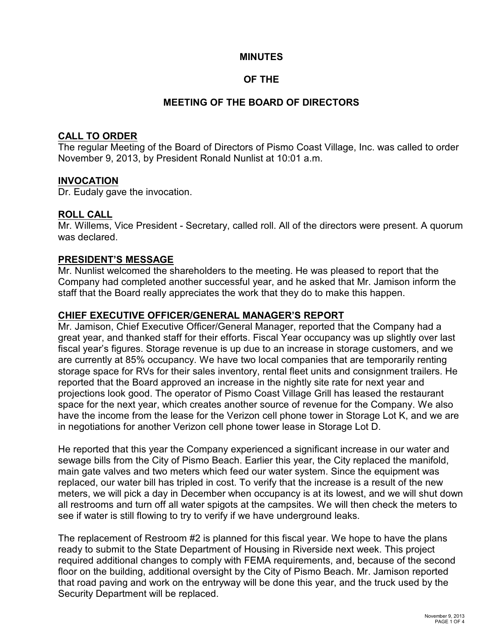## **MINUTES**

## **OF THE**

## **MEETING OF THE BOARD OF DIRECTORS**

#### **CALL TO ORDER**

The regular Meeting of the Board of Directors of Pismo Coast Village, Inc. was called to order November 9, 2013, by President Ronald Nunlist at 10:01 a.m.

#### **INVOCATION**

Dr. Eudaly gave the invocation.

#### **ROLL CALL**

Mr. Willems, Vice President - Secretary, called roll. All of the directors were present. A quorum was declared.

#### **PRESIDENT'S MESSAGE**

Mr. Nunlist welcomed the shareholders to the meeting. He was pleased to report that the Company had completed another successful year, and he asked that Mr. Jamison inform the staff that the Board really appreciates the work that they do to make this happen.

## **CHIEF EXECUTIVE OFFICER/GENERAL MANAGER'S REPORT**

Mr. Jamison, Chief Executive Officer/General Manager, reported that the Company had a great year, and thanked staff for their efforts. Fiscal Year occupancy was up slightly over last fiscal year's figures. Storage revenue is up due to an increase in storage customers, and we are currently at 85% occupancy. We have two local companies that are temporarily renting storage space for RVs for their sales inventory, rental fleet units and consignment trailers. He reported that the Board approved an increase in the nightly site rate for next year and projections look good. The operator of Pismo Coast Village Grill has leased the restaurant space for the next year, which creates another source of revenue for the Company. We also have the income from the lease for the Verizon cell phone tower in Storage Lot K, and we are in negotiations for another Verizon cell phone tower lease in Storage Lot D.

He reported that this year the Company experienced a significant increase in our water and sewage bills from the City of Pismo Beach. Earlier this year, the City replaced the manifold, main gate valves and two meters which feed our water system. Since the equipment was replaced, our water bill has tripled in cost. To verify that the increase is a result of the new meters, we will pick a day in December when occupancy is at its lowest, and we will shut down all restrooms and turn off all water spigots at the campsites. We will then check the meters to see if water is still flowing to try to verify if we have underground leaks.

The replacement of Restroom #2 is planned for this fiscal year. We hope to have the plans ready to submit to the State Department of Housing in Riverside next week. This project required additional changes to comply with FEMA requirements, and, because of the second floor on the building, additional oversight by the City of Pismo Beach. Mr. Jamison reported that road paving and work on the entryway will be done this year, and the truck used by the Security Department will be replaced.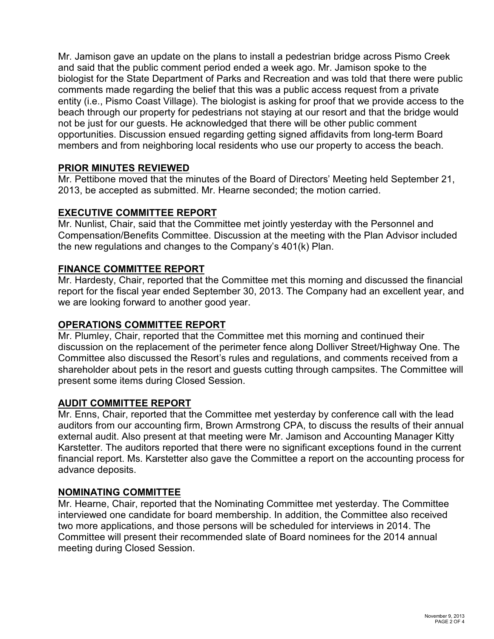Mr. Jamison gave an update on the plans to install a pedestrian bridge across Pismo Creek and said that the public comment period ended a week ago. Mr. Jamison spoke to the biologist for the State Department of Parks and Recreation and was told that there were public comments made regarding the belief that this was a public access request from a private entity (i.e., Pismo Coast Village). The biologist is asking for proof that we provide access to the beach through our property for pedestrians not staying at our resort and that the bridge would not be just for our guests. He acknowledged that there will be other public comment opportunities. Discussion ensued regarding getting signed affidavits from long-term Board members and from neighboring local residents who use our property to access the beach.

## **PRIOR MINUTES REVIEWED**

Mr. Pettibone moved that the minutes of the Board of Directors' Meeting held September 21, 2013, be accepted as submitted. Mr. Hearne seconded; the motion carried.

## **EXECUTIVE COMMITTEE REPORT**

Mr. Nunlist, Chair, said that the Committee met jointly yesterday with the Personnel and Compensation/Benefits Committee. Discussion at the meeting with the Plan Advisor included the new regulations and changes to the Company's 401(k) Plan.

## **FINANCE COMMITTEE REPORT**

Mr. Hardesty, Chair, reported that the Committee met this morning and discussed the financial report for the fiscal year ended September 30, 2013. The Company had an excellent year, and we are looking forward to another good year.

#### **OPERATIONS COMMITTEE REPORT**

Mr. Plumley, Chair, reported that the Committee met this morning and continued their discussion on the replacement of the perimeter fence along Dolliver Street/Highway One. The Committee also discussed the Resort's rules and regulations, and comments received from a shareholder about pets in the resort and guests cutting through campsites. The Committee will present some items during Closed Session.

## **AUDIT COMMITTEE REPORT**

Mr. Enns, Chair, reported that the Committee met yesterday by conference call with the lead auditors from our accounting firm, Brown Armstrong CPA, to discuss the results of their annual external audit. Also present at that meeting were Mr. Jamison and Accounting Manager Kitty Karstetter. The auditors reported that there were no significant exceptions found in the current financial report. Ms. Karstetter also gave the Committee a report on the accounting process for advance deposits.

#### **NOMINATING COMMITTEE**

Mr. Hearne, Chair, reported that the Nominating Committee met yesterday. The Committee interviewed one candidate for board membership. In addition, the Committee also received two more applications, and those persons will be scheduled for interviews in 2014. The Committee will present their recommended slate of Board nominees for the 2014 annual meeting during Closed Session.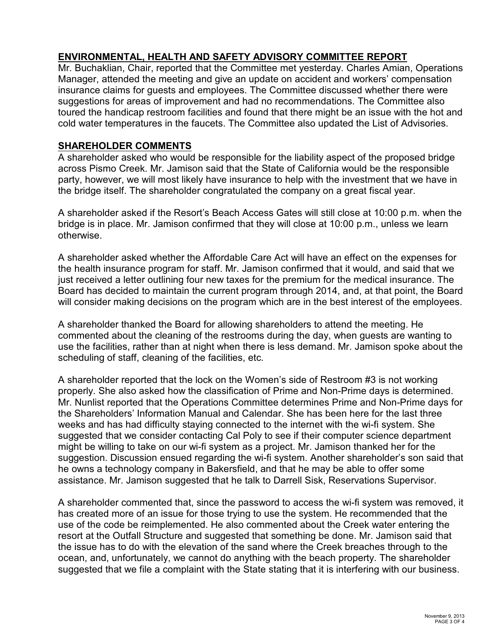## **ENVIRONMENTAL, HEALTH AND SAFETY ADVISORY COMMITTEE REPORT**

Mr. Buchaklian, Chair, reported that the Committee met yesterday. Charles Amian, Operations Manager, attended the meeting and give an update on accident and workers' compensation insurance claims for guests and employees. The Committee discussed whether there were suggestions for areas of improvement and had no recommendations. The Committee also toured the handicap restroom facilities and found that there might be an issue with the hot and cold water temperatures in the faucets. The Committee also updated the List of Advisories.

## **SHAREHOLDER COMMENTS**

A shareholder asked who would be responsible for the liability aspect of the proposed bridge across Pismo Creek. Mr. Jamison said that the State of California would be the responsible party, however, we will most likely have insurance to help with the investment that we have in the bridge itself. The shareholder congratulated the company on a great fiscal year.

A shareholder asked if the Resort's Beach Access Gates will still close at 10:00 p.m. when the bridge is in place. Mr. Jamison confirmed that they will close at 10:00 p.m., unless we learn otherwise.

A shareholder asked whether the Affordable Care Act will have an effect on the expenses for the health insurance program for staff. Mr. Jamison confirmed that it would, and said that we just received a letter outlining four new taxes for the premium for the medical insurance. The Board has decided to maintain the current program through 2014, and, at that point, the Board will consider making decisions on the program which are in the best interest of the employees.

A shareholder thanked the Board for allowing shareholders to attend the meeting. He commented about the cleaning of the restrooms during the day, when guests are wanting to use the facilities, rather than at night when there is less demand. Mr. Jamison spoke about the scheduling of staff, cleaning of the facilities, etc.

A shareholder reported that the lock on the Women's side of Restroom #3 is not working properly. She also asked how the classification of Prime and Non-Prime days is determined. Mr. Nunlist reported that the Operations Committee determines Prime and Non-Prime days for the Shareholders' Information Manual and Calendar. She has been here for the last three weeks and has had difficulty staying connected to the internet with the wi-fi system. She suggested that we consider contacting Cal Poly to see if their computer science department might be willing to take on our wi-fi system as a project. Mr. Jamison thanked her for the suggestion. Discussion ensued regarding the wi-fi system. Another shareholder's son said that he owns a technology company in Bakersfield, and that he may be able to offer some assistance. Mr. Jamison suggested that he talk to Darrell Sisk, Reservations Supervisor.

A shareholder commented that, since the password to access the wi-fi system was removed, it has created more of an issue for those trying to use the system. He recommended that the use of the code be reimplemented. He also commented about the Creek water entering the resort at the Outfall Structure and suggested that something be done. Mr. Jamison said that the issue has to do with the elevation of the sand where the Creek breaches through to the ocean, and, unfortunately, we cannot do anything with the beach property. The shareholder suggested that we file a complaint with the State stating that it is interfering with our business.